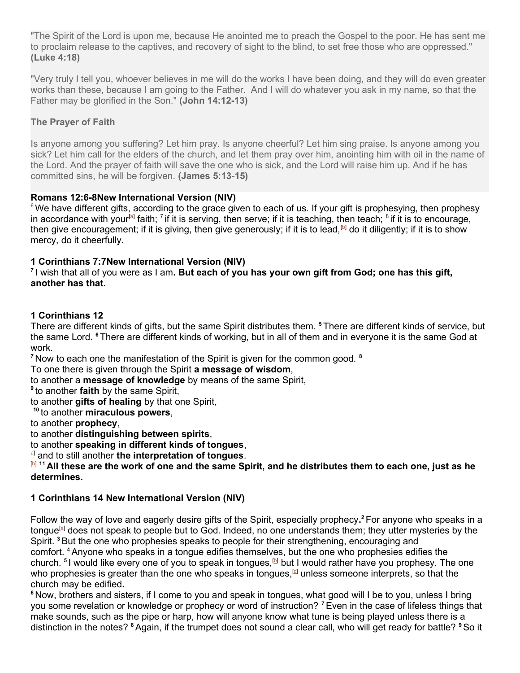"The Spirit of the Lord is upon me, because He anointed me to preach the Gospel to the poor. He has sent me to proclaim release to the captives, and recovery of sight to the blind, to set free those who are oppressed." (Luke 4:18)

"Very truly I tell you, whoever believes in me will do the works I have been doing, and they will do even greater works than these, because I am going to the Father. And I will do whatever you ask in my name, so that the Father may be glorified in the Son." (John 14:12-13)

## The Prayer of Faith

Is anyone among you suffering? Let him pray. Is anyone cheerful? Let him sing praise. Is anyone among you sick? Let him call for the elders of the church, and let them pray over him, anointing him with oil in the name of the Lord. And the prayer of faith will save the one who is sick, and the Lord will raise him up. And if he has committed sins, he will be forgiven. (James 5:13-15)

## Romans 12:6-8New International Version (NIV)

<sup>6</sup> We have different gifts, according to the grace given to each of us. If your gift is prophesying, then prophesy in accordance with your<sup>[a]</sup> faith; <sup>7</sup> if it is serving, then serve; if it is teaching, then teach; <sup>8</sup> if it is to encourage, then give encouragement; if it is giving, then give generously; if it is to lead,<sup>[b]</sup> do it diligently; if it is to show mercy, do it cheerfully.

# 1 Corinthians 7:7New International Version (NIV)

 $<sup>7</sup>$ I wish that all of you were as I am. But each of you has your own gift from God; one has this gift,</sup> another has that.

# 1 Corinthians 12

There are different kinds of gifts, but the same Spirit distributes them. <sup>5</sup>There are different kinds of service, but the same Lord. <sup>6</sup>There are different kinds of working, but in all of them and in everyone it is the same God at work.

 $<sup>7</sup>$  Now to each one the manifestation of the Spirit is given for the common good.  $<sup>8</sup>$ </sup></sup>

To one there is given through the Spirit a message of wisdom,

to another a **message of knowledge** by means of the same Spirit,

<sup>9</sup> to another **faith** by the same Spirit,

to another gifts of healing by that one Spirit,

 $10$  to another miraculous powers.

to another prophecy,

to another distinguishing between spirits,

to another speaking in different kinds of tongues,

al and to still another the interpretation of tongues.

[b] <sup>11</sup> All these are the work of one and the same Spirit, and he distributes them to each one, just as he determines.

## 1 Corinthians 14 New International Version (NIV)

Follow the way of love and eagerly desire gifts of the Spirit, especially prophecy.<sup>2</sup> For anyone who speaks in a tongue<sup>[a]</sup> does not speak to people but to God. Indeed, no one understands them; they utter mysteries by the Spirit. <sup>3</sup> But the one who prophesies speaks to people for their strengthening, encouraging and comfort. <sup>4</sup>Anyone who speaks in a tongue edifies themselves, but the one who prophesies edifies the church. <sup>s</sup>I would like every one of you to speak in tongues,<sup>[b]</sup> but I would rather have you prophesy. The one who prophesies is greater than the one who speaks in tongues, $^{\text{\tiny{\text{G}}}}$  unless someone interprets, so that the church may be edified.

<sup>6</sup> Now, brothers and sisters, if I come to you and speak in tongues, what good will I be to you, unless I bring you some revelation or knowledge or prophecy or word of instruction? <sup>7</sup> Even in the case of lifeless things that make sounds, such as the pipe or harp, how will anyone know what tune is being played unless there is a distinction in the notes? <sup>8</sup> Again, if the trumpet does not sound a clear call, who will get ready for battle? <sup>9</sup> So it